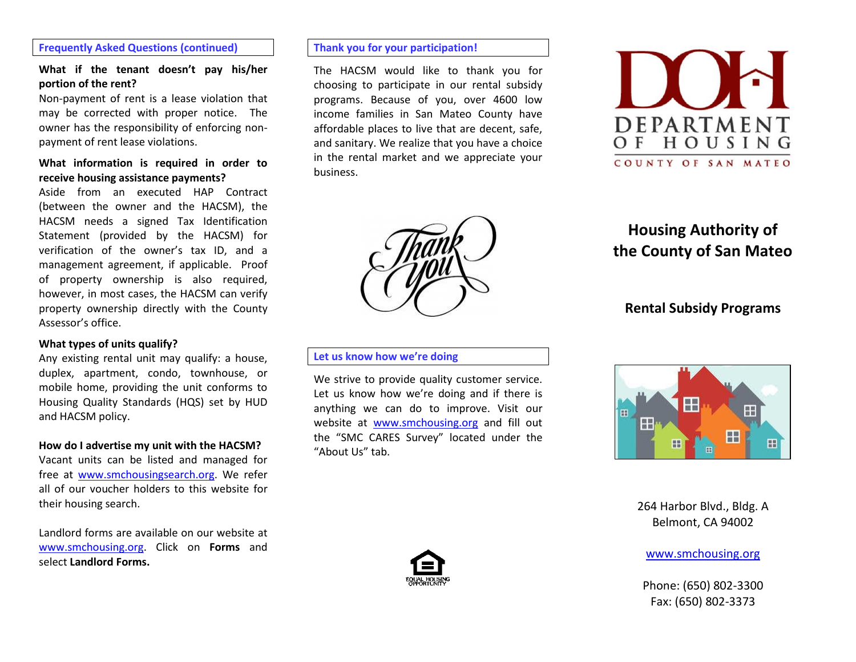#### **Frequently Asked Questions (continued)**

### **What if the tenant doesn't pay his/her portion of the rent?**

Non-payment of rent is a lease violation that may be corrected with proper notice. The owner has the responsibility of enforcing nonpayment of rent lease violations.

#### **What information is required in order to receive housing assistance payments?**

Aside from an executed HAP Contract (between the owner and the HACSM), the HACSM needs a signed Tax Identification Statement (provided by the HACSM) for verification of the owner's tax ID, and a management agreement, if applicable. Proof of property ownership is also required, however, in most cases, the HACSM can verify property ownership directly with the County Assessor's office.

#### **What types of units qualify?**

Any existing rental unit may qualify: a house, duplex, apartment, condo, townhouse, or mobile home, providing the unit conforms to Housing Quality Standards (HQS) set by HUD and HACSM policy.

#### **How do I advertise my unit with the HACSM?**

Vacant units can be listed and managed for free at [www.smchousingsearch.org.](http://www.smchousingsearch.org/) We refer all of our voucher holders to this website for their housing search.

Landlord forms are available on our website at [www.smchousing.org.](http://www.smchousing.org/) Click on **Forms** and select **Landlord Forms.** 

#### **Thank you for your participation!**

The HACSM would like to thank you for choosing to participate in our rental subsidy programs. Because of you, over 4600 low income families in San Mateo County have affordable places to live that are decent, safe, and sanitary. We realize that you have a choice in the rental market and we appreciate your business.



#### **Let us know how we're doing**

We strive to provide quality customer service. Let us know how we're doing and if there is anything we can do to improve. Visit our website at [www.smchousing.org](http://www.smchousing.org/) and fill out the "SMC CARES Survey" located under the "About Us" tab.



# **Rental Subsidy Programs**

**Housing Authority of the County of San Mateo**

## H  $\mathbf{H}$ H E. 田

264 Harbor Blvd., Bldg. A Belmont, CA 94002

[www.smchousing.org](http://www.smchousing.org/)

Phone: (650) 802-3300 Fax: (650) 802-3373